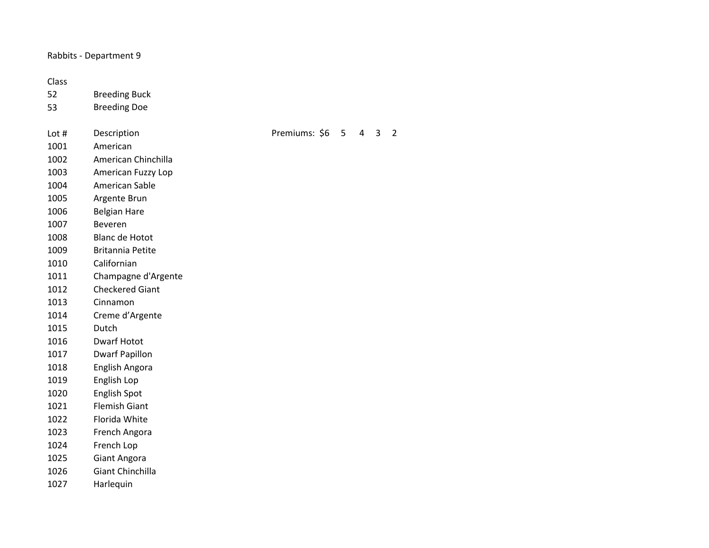Rabbits - Department 9

## Class

- Breeding Buck
- Breeding Doe
- Lot # Description Premiums: \$6 5 4 3 2 American
- American Chinchilla
- American Fuzzy Lop
- American Sable
- Argente Brun
- Belgian Hare
- Beveren
- Blanc de Hotot
- Britannia Petite
- Californian
- Champagne d'Argente
- Checkered Giant
- Cinnamon
- Creme d'Argente
- Dutch
- Dwarf Hotot
- Dwarf Papillon
- English Angora
- English Lop
- English Spot
- Flemish Giant
- Florida White
- French Angora
- French Lop
- Giant Angora
- Giant Chinchilla
- Harlequin